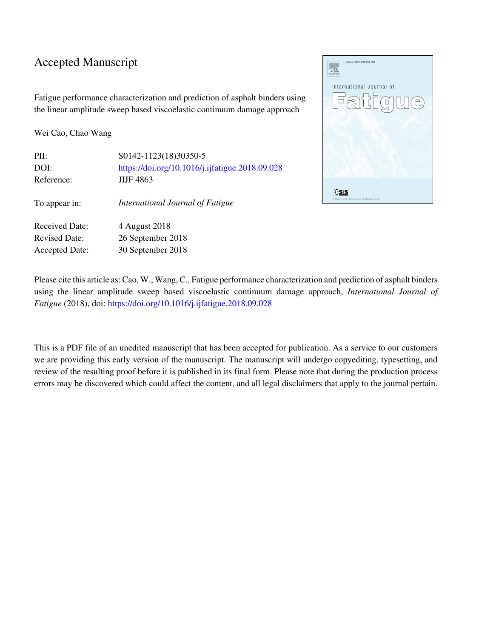### Accepted Manuscript

Fatigue performance characterization and prediction of asphalt binders using the linear amplitude sweep based viscoelastic continuum damage approach

Wei Cao, Chao Wang

| PII:                  | S0142-1123(18)30350-5                           |
|-----------------------|-------------------------------------------------|
| DOI:                  | https://doi.org/10.1016/j.ijfatigue.2018.09.028 |
| Reference:            | <b>JIJF 4863</b>                                |
| To appear in:         | International Journal of Fatigue                |
| <b>Received Date:</b> | 4 August 2018                                   |
| <b>Revised Date:</b>  | 26 September 2018                               |
| <b>Accepted Date:</b> | 30 September 2018                               |



Please cite this article as: Cao, W., Wang, C., Fatigue performance characterization and prediction of asphalt binders using the linear amplitude sweep based viscoelastic continuum damage approach, *International Journal of Fatigue* (2018), doi:<https://doi.org/10.1016/j.ijfatigue.2018.09.028>

This is a PDF file of an unedited manuscript that has been accepted for publication. As a service to our customers we are providing this early version of the manuscript. The manuscript will undergo copyediting, typesetting, and review of the resulting proof before it is published in its final form. Please note that during the production process errors may be discovered which could affect the content, and all legal disclaimers that apply to the journal pertain.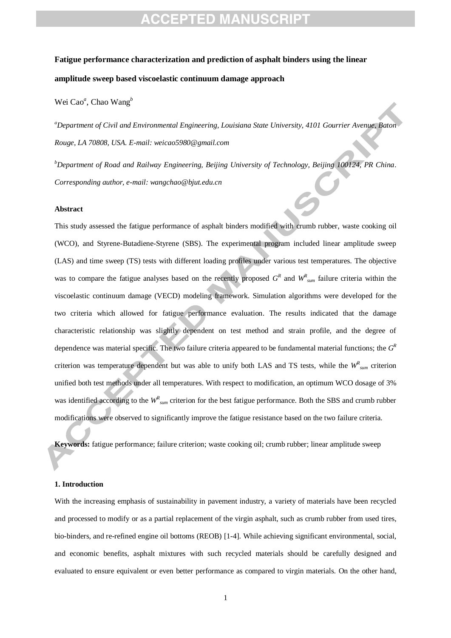## **CEPTED MANUSCRIPT**

## **Fatigue performance characterization and prediction of asphalt binders using the linear amplitude sweep based viscoelastic continuum damage approach**

Wei Cao*<sup>a</sup>* , Chao Wang*<sup>b</sup>*

*<sup>a</sup>Department of Civil and Environmental Engineering, Louisiana State University, 4101 Gourrier Avenue, Baton Rouge, LA 70808, USA. E-mail: weicao5980@gmail.com*

*<sup>b</sup>Department of Road and Railway Engineering, Beijing University of Technology, Beijing 100124, PR China. Corresponding author, e-mail: wangchao@bjut.edu.cn*

#### **Abstract**

This study assessed the fatigue performance of asphalt binders modified with crumb rubber, waste cooking oil (WCO), and Styrene-Butadiene-Styrene (SBS). The experimental program included linear amplitude sweep (LAS) and time sweep (TS) tests with different loading profiles under various test temperatures. The objective was to compare the fatigue analyses based on the recently proposed  $G<sup>R</sup>$  and  $W<sup>R</sup>_{sum}$  failure criteria within the viscoelastic continuum damage (VECD) modeling framework. Simulation algorithms were developed for the two criteria which allowed for fatigue performance evaluation. The results indicated that the damage characteristic relationship was slightly dependent on test method and strain profile, and the degree of dependence was material specific. The two failure criteria appeared to be fundamental material functions; the  $G<sup>k</sup>$ criterion was temperature dependent but was able to unify both LAS and TS tests, while the  $W_{sum}^R$  criterion unified both test methods under all temperatures. With respect to modification, an optimum WCO dosage of 3% was identified according to the  $W_{sum}^R$  criterion for the best fatigue performance. Both the SBS and crumb rubber modifications were observed to significantly improve the fatigue resistance based on the two failure criteria.

**Keywords:** fatigue performance; failure criterion; waste cooking oil; crumb rubber; linear amplitude sweep

#### **1. Introduction**

With the increasing emphasis of sustainability in pavement industry, a variety of materials have been recycled and processed to modify or as a partial replacement of the virgin asphalt, such as crumb rubber from used tires, bio-binders, and re-refined engine oil bottoms (REOB) [1-4]. While achieving significant environmental, social, and economic benefits, asphalt mixtures with such recycled materials should be carefully designed and evaluated to ensure equivalent or even better performance as compared to virgin materials. On the other hand,